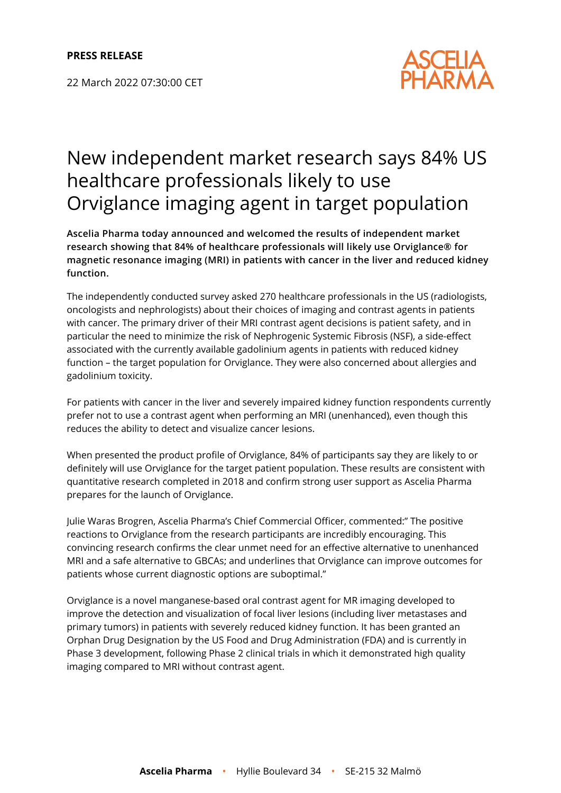22 March 2022 07:30:00 CET



# New independent market research says 84% US healthcare professionals likely to use Orviglance imaging agent in target population

**Ascelia Pharma today announced and welcomed the results of independent market research showing that 84% of healthcare professionals will likely use Orviglance® for magnetic resonance imaging (MRI) in patients with cancer in the liver and reduced kidney function.**

The independently conducted survey asked 270 healthcare professionals in the US (radiologists, oncologists and nephrologists) about their choices of imaging and contrast agents in patients with cancer. The primary driver of their MRI contrast agent decisions is patient safety, and in particular the need to minimize the risk of Nephrogenic Systemic Fibrosis (NSF), a side-effect associated with the currently available gadolinium agents in patients with reduced kidney function – the target population for Orviglance. They were also concerned about allergies and gadolinium toxicity.

For patients with cancer in the liver and severely impaired kidney function respondents currently prefer not to use a contrast agent when performing an MRI (unenhanced), even though this reduces the ability to detect and visualize cancer lesions.

When presented the product profile of Orviglance, 84% of participants say they are likely to or definitely will use Orviglance for the target patient population. These results are consistent with quantitative research completed in 2018 and confirm strong user support as Ascelia Pharma prepares for the launch of Orviglance.

Julie Waras Brogren, Ascelia Pharma's Chief Commercial Officer, commented:" The positive reactions to Orviglance from the research participants are incredibly encouraging. This convincing research confirms the clear unmet need for an effective alternative to unenhanced MRI and a safe alternative to GBCAs; and underlines that Orviglance can improve outcomes for patients whose current diagnostic options are suboptimal."

Orviglance is a novel manganese-based oral contrast agent for MR imaging developed to improve the detection and visualization of focal liver lesions (including liver metastases and primary tumors) in patients with severely reduced kidney function. It has been granted an Orphan Drug Designation by the US Food and Drug Administration (FDA) and is currently in Phase 3 development, following Phase 2 clinical trials in which it demonstrated high quality imaging compared to MRI without contrast agent.